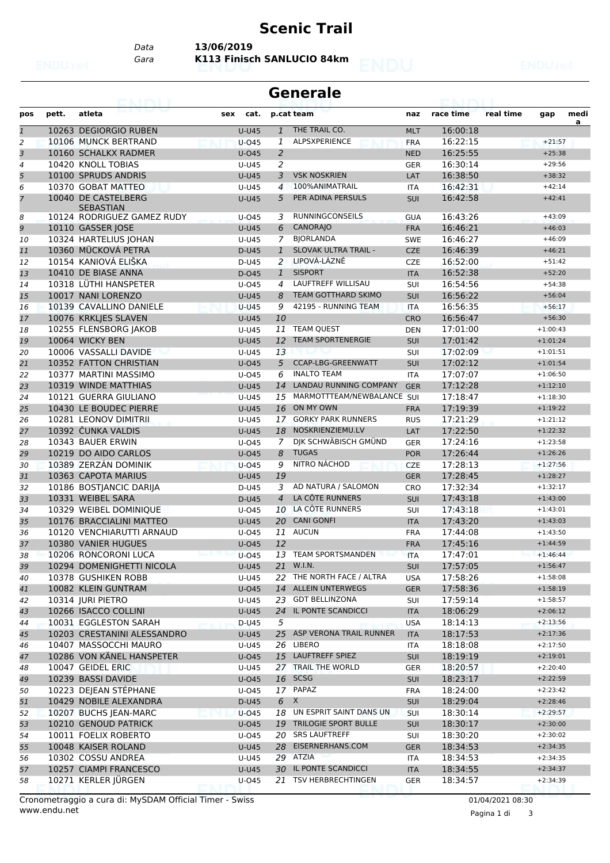## **Scenic Trail**

**Generale**

*Data* **13/06/2019**

*Gara* **K113 Finisch SANLUCIO 84km**

| THE TRAIL CO.<br>10263 DEGIORGIO RUBEN<br>$U-U45$<br>16:00:18<br>$\overline{1}$<br>$\mathbf{1}$<br><b>MLT</b><br>ALPSXPERIENCE<br>10106 MUNCK BERTRAND<br>16:22:15<br>2<br>$U-045$<br>1<br><b>FRA</b><br>$+21:57$<br>$\overline{2}$<br>16:25:55<br>10160 SCHALKX RADMER<br>$+25:38$<br>$U$ -045<br>3<br><b>NED</b><br>2<br>10420 KNOLL TOBIAS<br>16:30:14<br>4<br>U-U45<br><b>GER</b><br>$+29:56$<br>5<br>10100 SPRUDS ANDRIS<br>3<br><b>VSK NOSKRIEN</b><br>16:38:50<br><b>U-U45</b><br>LAT<br>$+38:32$<br>100% ANIMATRAIL<br>$+42:14$<br>10370 GOBAT MATTEO<br>6<br>U-U45<br>$\overline{4}$<br>16:42:31<br>ITA<br>PER ADINA PERSULS<br>10040 DE CASTELBERG<br>16:42:58<br>7<br>$U-U45$<br>5<br><b>SUI</b><br>$+42:41$<br><b>SEBASTIAN</b><br>10124 RODRIGUEZ GAMEZ RUDY<br><b>RUNNINGCONSEILS</b><br>16:43:26<br>$U$ -045<br>3<br><b>GUA</b><br>$+43:09$<br>8<br>10110 GASSER JOSE<br><b>CANORAJO</b><br>16:46:21<br>$+46:03$<br>9<br><b>U-U45</b><br>6<br><b>FRA</b><br><b>BIORLANDA</b><br>10324 HARTELIUS JOHAN<br>16:46:27<br>$+46:09$<br>U-U45<br>7<br><b>SWE</b><br>10<br>10360 MÜCKOVÁ PETRA<br>SLOVAK ULTRA TRAIL -<br>$\mathbf{1}$<br>16:46:39<br>D-U45<br><b>CZE</b><br>$+46:21$<br>11<br>10154 KANIOVÁ ELIŠKA<br>LIPOVÁ-LÁZNĚ<br>$\overline{2}$<br>16:52:00<br><b>CZE</b><br>$+51:42$<br>12<br>D-U45<br><b>SISPORT</b><br>$+52:20$<br>10410 DE BIASE ANNA<br>16:52:38<br>D-045<br>$\mathbf{1}$<br><b>ITA</b><br>13<br><b>LAUFTREFF WILLISAU</b><br>10318 LÜTHI HANSPETER<br>16:54:56<br>$U$ -045<br>SUI<br>$+54:38$<br>14<br>$\overline{a}$<br>10017 NANI LORENZO<br><b>TEAM GOTTHARD SKIMO</b><br>16:56:22<br>8<br><b>SUI</b><br>$+56:04$<br><b>U-U45</b><br>15<br>42195 - RUNNING TEAM<br>10139 CAVALLINO DANIELE<br>9<br>16:56:35<br>$+56:17$<br><b>U-U45</b><br><b>ITA</b><br>16<br>10076 KRKLJES SLAVEN<br>10<br>16:56:47<br>$U-U45$<br><b>CRO</b><br>$+56:30$<br>17<br>10255 FLENSBORG JAKOB<br><b>TEAM QUEST</b><br>17:01:00<br>11<br>$+1:00:43$<br>U-U45<br><b>DEN</b><br>18<br><b>TEAM SPORTENERGIE</b><br>10064 WICKY BEN<br>17:01:42<br>$+1:01:24$<br><b>U-U45</b><br>12<br>SUI<br>19<br>10006 VASSALLI DAVIDE<br>17:02:09<br>$U-U45$<br>13<br>SUI<br>$+1:01:51$<br>20<br>10352 FATTON CHRISTIAN<br>5<br>CCAP-LBG-GREENWATT<br>17:02:12<br><b>SUI</b><br>$+1:01:54$<br>$U$ -045<br>21<br><b>INALTO TEAM</b><br>10377 MARTINI MASSIMO<br>6<br>17:07:07<br>$+1:06:50$<br>U-045<br><b>ITA</b><br>22<br>10319 WINDE MATTHIAS<br>LANDAU RUNNING COMPANY<br>17:12:28<br>$U-U45$<br>14<br><b>GER</b><br>$+1:12:10$<br>23<br>10121 GUERRA GIULIANO<br>MARMOTTTEAM/NEWBALANCE SUI<br>17:18:47<br>15<br>$+1:18:30$<br>24<br>$U-U45$<br>ON MY OWN<br>10430 LE BOUDEC PIERRE<br>17:19:39<br><b>U-U45</b><br>16<br>$+1:19:22$<br>25<br><b>FRA</b><br>10281 LEONOV DIMITRII<br>17 GORKY PARK RUNNERS<br>17:21:29<br>$U-U45$<br>$+1:21:12$<br>26<br><b>RUS</b><br>10392 CUNKA VALDIS<br>NOSKRIENZIEMU.LV<br>17:22:50<br><b>U-U45</b><br>18<br>$+1:22:32$<br>LAT<br>27<br>DIK SCHWÄBISCH GMÜND<br>10343 BAUER ERWIN<br>17:24:16<br>$U$ -045<br>$\overline{7}$<br><b>GER</b><br>$+1:23:58$<br>28<br><b>TUGAS</b><br>10219 DO AIDO CARLOS<br>8<br>17:26:44<br>$U$ -045<br><b>POR</b><br>$+1:26:26$<br>29<br>NITRO NÁCHOD<br>10389 ZERZÁN DOMINIK<br>9<br>17:28:13<br>$+1:27:56$<br>$U$ -045<br><b>CZE</b><br>30<br>10363 CAPOTA MARIUS<br>19<br>17:28:45<br><b>U-U45</b><br><b>GER</b><br>$+1:28:27$<br>31<br>10186 BOSTJANCIC DARIJA<br>3<br>AD NATURA / SALOMON<br>17:32:34<br>D-U45<br>CRO<br>$+1:32:17$<br>32<br>LA CÔTE RUNNERS<br>10331 WEIBEL SARA<br>$\overline{4}$<br>SUI<br>17:43:18<br>$+1:43:00$<br>D-U45<br>33<br>LA CÔTE RUNNERS<br>10329 WEIBEL DOMINIQUE<br>17:43:18<br>$U$ -045<br>10<br>SUI<br>$+1:43:01$<br>34<br><b>CANI GONFI</b><br>10176 BRACCIALINI MATTEO<br>17:43:20<br><b>U-U45</b><br>20<br><b>ITA</b><br>$+1:43:03$<br>35<br>11 AUCUN<br>10120 VENCHIARUTTI ARNAUD<br>17:44:08<br>$+1:43:50$<br>U-045<br>36<br><b>FRA</b><br>10380 VANIER HUGUES<br>12<br>17:45:16<br>$U$ -045<br>$+1:44:59$<br>37<br><b>FRA</b><br>13 TEAM SPORTSMANDEN<br>10206 RONCORONI LUCA<br>$U$ -045<br>17:47:01<br>$+1:46:44$<br>38<br><b>ITA</b><br>10294 DOMENIGHETTI NICOLA<br><b>U-U45</b><br>21 W.I.N.<br>SUI<br>17:57:05<br>$+1:56:47$<br>39<br>22 THE NORTH FACE / ALTRA<br>10378 GUSHIKEN ROBB<br>17:58:26<br>$+1:58:08$<br>U-U45<br><b>USA</b><br>40<br>10082 KLEIN GUNTRAM<br>$U$ -045<br>14 ALLEIN UNTERWEGS<br>17:58:36<br>$+1:58:19$<br><b>GER</b><br>41<br>23 GDT BELLINZONA<br>10314 JURI PIETRO<br>$+1:58:57$<br>$U-U45$<br>17:59:14<br>42<br><b>SUI</b><br>10266 ISACCO COLLINI<br>IL PONTE SCANDICCI<br>$U-U45$<br>18:06:29<br>$+2:06:12$<br>24<br><b>ITA</b><br>43<br>10031 EGGLESTON SARAH<br>D-U45<br>5<br>18:14:13<br><b>USA</b><br>$+2:13:56$<br>44<br>25 ASP VERONA TRAIL RUNNER<br>10203 CRESTANINI ALESSANDRO<br><b>ITA</b><br>18:17:53<br>$+2:17:36$<br><b>U-U45</b><br>45<br>26 LIBERO<br>10407 MASSOCCHI MAURO<br>18:18:08<br>U-U45<br>$+2:17:50$<br><b>ITA</b><br>46<br>10286 VON KÄNEL HANSPETER<br>15 LAUFTREFF SPIEZ<br>18:19:19<br>$+2:19:01$<br>$U$ -045<br><b>SUI</b><br>47<br>10047 GEIDEL ERIC<br>27 TRAIL THE WORLD<br>$+2:20:40$<br>U-U45<br>18:20:57<br><b>GER</b><br>48<br>10239 BASSI DAVIDE<br>16 SCSG<br>U-045<br>18:23:17<br>$+2:22:59$<br><b>SUI</b><br>49<br>17 PAPAZ<br>10223 DEJEAN STÉPHANE<br>18:24:00<br>$+2:23:42$<br>U-045<br><b>FRA</b><br>50<br>10429 NOBILE ALEXANDRA<br>$6 \times$<br>$+2:28:46$<br>D-U45<br>18:29:04<br><b>SUI</b><br>51<br>UN ESPRIT SAINT DANS UN<br>10207 BUCHS JEAN-MARC<br>18:30:14<br>$+2:29:57$<br>U-045<br>18<br><b>SUI</b><br>52<br>10210 GENOUD PATRICK<br>19 TRILOGIE SPORT BULLE<br>18:30:17<br>$+2:30:00$<br>U-045<br><b>SUI</b><br>53<br>20 SRS LAUFTREFF<br>$+2:30:02$<br>10011 FOELIX ROBERTO<br>U-045<br>18:30:20<br>54<br><b>SUI</b><br>10048 KAISER ROLAND<br>U-U45<br>EISERNERHANS.COM<br>18:34:53<br>$+2:34:35$<br>28<br><b>GER</b><br>55<br>29 ATZIA<br>10302 COSSU ANDREA<br>18:34:53<br>$+2:34:35$<br>U-U45<br>56<br>ITA<br>30 IL PONTE SCANDICCI<br>10257 CIAMPI FRANCESCO<br>U-U45<br>18:34:55<br>$+2:34:37$<br><b>ITA</b><br>57<br>10271 KERLER JÜRGEN<br>21 TSV HERBRECHTINGEN<br>18:34:57<br>U-045<br><b>GER</b><br>$+2:34:39$<br>58 | pos | pett. | atleta | sex | cat. | p.cat team | naz | race time | real time | gap | medi<br>a |
|-----------------------------------------------------------------------------------------------------------------------------------------------------------------------------------------------------------------------------------------------------------------------------------------------------------------------------------------------------------------------------------------------------------------------------------------------------------------------------------------------------------------------------------------------------------------------------------------------------------------------------------------------------------------------------------------------------------------------------------------------------------------------------------------------------------------------------------------------------------------------------------------------------------------------------------------------------------------------------------------------------------------------------------------------------------------------------------------------------------------------------------------------------------------------------------------------------------------------------------------------------------------------------------------------------------------------------------------------------------------------------------------------------------------------------------------------------------------------------------------------------------------------------------------------------------------------------------------------------------------------------------------------------------------------------------------------------------------------------------------------------------------------------------------------------------------------------------------------------------------------------------------------------------------------------------------------------------------------------------------------------------------------------------------------------------------------------------------------------------------------------------------------------------------------------------------------------------------------------------------------------------------------------------------------------------------------------------------------------------------------------------------------------------------------------------------------------------------------------------------------------------------------------------------------------------------------------------------------------------------------------------------------------------------------------------------------------------------------------------------------------------------------------------------------------------------------------------------------------------------------------------------------------------------------------------------------------------------------------------------------------------------------------------------------------------------------------------------------------------------------------------------------------------------------------------------------------------------------------------------------------------------------------------------------------------------------------------------------------------------------------------------------------------------------------------------------------------------------------------------------------------------------------------------------------------------------------------------------------------------------------------------------------------------------------------------------------------------------------------------------------------------------------------------------------------------------------------------------------------------------------------------------------------------------------------------------------------------------------------------------------------------------------------------------------------------------------------------------------------------------------------------------------------------------------------------------------------------------------------------------------------------------------------------------------------------------------------------------------------------------------------------------------------------------------------------------------------------------------------------------------------------------------------------------------------------------------------------------------------------------------------------------------------------------------------------------------------------------------------------------------------------------------------------------------------------------------------------------------------------------------------------------------------------------------------------------------------------------------------------------------------------------------------------------------------------------------------------------------------------------------------------------------------------------------------------------------------------------------------------------------------------------------------------------------------------------------------------------------------------------------------------------------------------------------------------------------------------------------------------------------------------------------------------------------------------------------------------------------------------------------------------------------------------------------------------------------------------------------------------------------------------------------------------------------------------------------------------------------------------------------------------------------------------------------------------------------------------------------------------------------------------------------------------------------------------------------------------------------------------------------------------------------------------------------------------------------------------------------------------------------------|-----|-------|--------|-----|------|------------|-----|-----------|-----------|-----|-----------|
|                                                                                                                                                                                                                                                                                                                                                                                                                                                                                                                                                                                                                                                                                                                                                                                                                                                                                                                                                                                                                                                                                                                                                                                                                                                                                                                                                                                                                                                                                                                                                                                                                                                                                                                                                                                                                                                                                                                                                                                                                                                                                                                                                                                                                                                                                                                                                                                                                                                                                                                                                                                                                                                                                                                                                                                                                                                                                                                                                                                                                                                                                                                                                                                                                                                                                                                                                                                                                                                                                                                                                                                                                                                                                                                                                                                                                                                                                                                                                                                                                                                                                                                                                                                                                                                                                                                                                                                                                                                                                                                                                                                                                                                                                                                                                                                                                                                                                                                                                                                                                                                                                                                                                                                                                                                                                                                                                                                                                                                                                                                                                                                                                                                                                                                                                                                                                                                                                                                                                                                                                                                                                                                                                                                                                                                           |     |       |        |     |      |            |     |           |           |     |           |
|                                                                                                                                                                                                                                                                                                                                                                                                                                                                                                                                                                                                                                                                                                                                                                                                                                                                                                                                                                                                                                                                                                                                                                                                                                                                                                                                                                                                                                                                                                                                                                                                                                                                                                                                                                                                                                                                                                                                                                                                                                                                                                                                                                                                                                                                                                                                                                                                                                                                                                                                                                                                                                                                                                                                                                                                                                                                                                                                                                                                                                                                                                                                                                                                                                                                                                                                                                                                                                                                                                                                                                                                                                                                                                                                                                                                                                                                                                                                                                                                                                                                                                                                                                                                                                                                                                                                                                                                                                                                                                                                                                                                                                                                                                                                                                                                                                                                                                                                                                                                                                                                                                                                                                                                                                                                                                                                                                                                                                                                                                                                                                                                                                                                                                                                                                                                                                                                                                                                                                                                                                                                                                                                                                                                                                                           |     |       |        |     |      |            |     |           |           |     |           |
|                                                                                                                                                                                                                                                                                                                                                                                                                                                                                                                                                                                                                                                                                                                                                                                                                                                                                                                                                                                                                                                                                                                                                                                                                                                                                                                                                                                                                                                                                                                                                                                                                                                                                                                                                                                                                                                                                                                                                                                                                                                                                                                                                                                                                                                                                                                                                                                                                                                                                                                                                                                                                                                                                                                                                                                                                                                                                                                                                                                                                                                                                                                                                                                                                                                                                                                                                                                                                                                                                                                                                                                                                                                                                                                                                                                                                                                                                                                                                                                                                                                                                                                                                                                                                                                                                                                                                                                                                                                                                                                                                                                                                                                                                                                                                                                                                                                                                                                                                                                                                                                                                                                                                                                                                                                                                                                                                                                                                                                                                                                                                                                                                                                                                                                                                                                                                                                                                                                                                                                                                                                                                                                                                                                                                                                           |     |       |        |     |      |            |     |           |           |     |           |
|                                                                                                                                                                                                                                                                                                                                                                                                                                                                                                                                                                                                                                                                                                                                                                                                                                                                                                                                                                                                                                                                                                                                                                                                                                                                                                                                                                                                                                                                                                                                                                                                                                                                                                                                                                                                                                                                                                                                                                                                                                                                                                                                                                                                                                                                                                                                                                                                                                                                                                                                                                                                                                                                                                                                                                                                                                                                                                                                                                                                                                                                                                                                                                                                                                                                                                                                                                                                                                                                                                                                                                                                                                                                                                                                                                                                                                                                                                                                                                                                                                                                                                                                                                                                                                                                                                                                                                                                                                                                                                                                                                                                                                                                                                                                                                                                                                                                                                                                                                                                                                                                                                                                                                                                                                                                                                                                                                                                                                                                                                                                                                                                                                                                                                                                                                                                                                                                                                                                                                                                                                                                                                                                                                                                                                                           |     |       |        |     |      |            |     |           |           |     |           |
|                                                                                                                                                                                                                                                                                                                                                                                                                                                                                                                                                                                                                                                                                                                                                                                                                                                                                                                                                                                                                                                                                                                                                                                                                                                                                                                                                                                                                                                                                                                                                                                                                                                                                                                                                                                                                                                                                                                                                                                                                                                                                                                                                                                                                                                                                                                                                                                                                                                                                                                                                                                                                                                                                                                                                                                                                                                                                                                                                                                                                                                                                                                                                                                                                                                                                                                                                                                                                                                                                                                                                                                                                                                                                                                                                                                                                                                                                                                                                                                                                                                                                                                                                                                                                                                                                                                                                                                                                                                                                                                                                                                                                                                                                                                                                                                                                                                                                                                                                                                                                                                                                                                                                                                                                                                                                                                                                                                                                                                                                                                                                                                                                                                                                                                                                                                                                                                                                                                                                                                                                                                                                                                                                                                                                                                           |     |       |        |     |      |            |     |           |           |     |           |
|                                                                                                                                                                                                                                                                                                                                                                                                                                                                                                                                                                                                                                                                                                                                                                                                                                                                                                                                                                                                                                                                                                                                                                                                                                                                                                                                                                                                                                                                                                                                                                                                                                                                                                                                                                                                                                                                                                                                                                                                                                                                                                                                                                                                                                                                                                                                                                                                                                                                                                                                                                                                                                                                                                                                                                                                                                                                                                                                                                                                                                                                                                                                                                                                                                                                                                                                                                                                                                                                                                                                                                                                                                                                                                                                                                                                                                                                                                                                                                                                                                                                                                                                                                                                                                                                                                                                                                                                                                                                                                                                                                                                                                                                                                                                                                                                                                                                                                                                                                                                                                                                                                                                                                                                                                                                                                                                                                                                                                                                                                                                                                                                                                                                                                                                                                                                                                                                                                                                                                                                                                                                                                                                                                                                                                                           |     |       |        |     |      |            |     |           |           |     |           |
|                                                                                                                                                                                                                                                                                                                                                                                                                                                                                                                                                                                                                                                                                                                                                                                                                                                                                                                                                                                                                                                                                                                                                                                                                                                                                                                                                                                                                                                                                                                                                                                                                                                                                                                                                                                                                                                                                                                                                                                                                                                                                                                                                                                                                                                                                                                                                                                                                                                                                                                                                                                                                                                                                                                                                                                                                                                                                                                                                                                                                                                                                                                                                                                                                                                                                                                                                                                                                                                                                                                                                                                                                                                                                                                                                                                                                                                                                                                                                                                                                                                                                                                                                                                                                                                                                                                                                                                                                                                                                                                                                                                                                                                                                                                                                                                                                                                                                                                                                                                                                                                                                                                                                                                                                                                                                                                                                                                                                                                                                                                                                                                                                                                                                                                                                                                                                                                                                                                                                                                                                                                                                                                                                                                                                                                           |     |       |        |     |      |            |     |           |           |     |           |
|                                                                                                                                                                                                                                                                                                                                                                                                                                                                                                                                                                                                                                                                                                                                                                                                                                                                                                                                                                                                                                                                                                                                                                                                                                                                                                                                                                                                                                                                                                                                                                                                                                                                                                                                                                                                                                                                                                                                                                                                                                                                                                                                                                                                                                                                                                                                                                                                                                                                                                                                                                                                                                                                                                                                                                                                                                                                                                                                                                                                                                                                                                                                                                                                                                                                                                                                                                                                                                                                                                                                                                                                                                                                                                                                                                                                                                                                                                                                                                                                                                                                                                                                                                                                                                                                                                                                                                                                                                                                                                                                                                                                                                                                                                                                                                                                                                                                                                                                                                                                                                                                                                                                                                                                                                                                                                                                                                                                                                                                                                                                                                                                                                                                                                                                                                                                                                                                                                                                                                                                                                                                                                                                                                                                                                                           |     |       |        |     |      |            |     |           |           |     |           |
|                                                                                                                                                                                                                                                                                                                                                                                                                                                                                                                                                                                                                                                                                                                                                                                                                                                                                                                                                                                                                                                                                                                                                                                                                                                                                                                                                                                                                                                                                                                                                                                                                                                                                                                                                                                                                                                                                                                                                                                                                                                                                                                                                                                                                                                                                                                                                                                                                                                                                                                                                                                                                                                                                                                                                                                                                                                                                                                                                                                                                                                                                                                                                                                                                                                                                                                                                                                                                                                                                                                                                                                                                                                                                                                                                                                                                                                                                                                                                                                                                                                                                                                                                                                                                                                                                                                                                                                                                                                                                                                                                                                                                                                                                                                                                                                                                                                                                                                                                                                                                                                                                                                                                                                                                                                                                                                                                                                                                                                                                                                                                                                                                                                                                                                                                                                                                                                                                                                                                                                                                                                                                                                                                                                                                                                           |     |       |        |     |      |            |     |           |           |     |           |
|                                                                                                                                                                                                                                                                                                                                                                                                                                                                                                                                                                                                                                                                                                                                                                                                                                                                                                                                                                                                                                                                                                                                                                                                                                                                                                                                                                                                                                                                                                                                                                                                                                                                                                                                                                                                                                                                                                                                                                                                                                                                                                                                                                                                                                                                                                                                                                                                                                                                                                                                                                                                                                                                                                                                                                                                                                                                                                                                                                                                                                                                                                                                                                                                                                                                                                                                                                                                                                                                                                                                                                                                                                                                                                                                                                                                                                                                                                                                                                                                                                                                                                                                                                                                                                                                                                                                                                                                                                                                                                                                                                                                                                                                                                                                                                                                                                                                                                                                                                                                                                                                                                                                                                                                                                                                                                                                                                                                                                                                                                                                                                                                                                                                                                                                                                                                                                                                                                                                                                                                                                                                                                                                                                                                                                                           |     |       |        |     |      |            |     |           |           |     |           |
|                                                                                                                                                                                                                                                                                                                                                                                                                                                                                                                                                                                                                                                                                                                                                                                                                                                                                                                                                                                                                                                                                                                                                                                                                                                                                                                                                                                                                                                                                                                                                                                                                                                                                                                                                                                                                                                                                                                                                                                                                                                                                                                                                                                                                                                                                                                                                                                                                                                                                                                                                                                                                                                                                                                                                                                                                                                                                                                                                                                                                                                                                                                                                                                                                                                                                                                                                                                                                                                                                                                                                                                                                                                                                                                                                                                                                                                                                                                                                                                                                                                                                                                                                                                                                                                                                                                                                                                                                                                                                                                                                                                                                                                                                                                                                                                                                                                                                                                                                                                                                                                                                                                                                                                                                                                                                                                                                                                                                                                                                                                                                                                                                                                                                                                                                                                                                                                                                                                                                                                                                                                                                                                                                                                                                                                           |     |       |        |     |      |            |     |           |           |     |           |
|                                                                                                                                                                                                                                                                                                                                                                                                                                                                                                                                                                                                                                                                                                                                                                                                                                                                                                                                                                                                                                                                                                                                                                                                                                                                                                                                                                                                                                                                                                                                                                                                                                                                                                                                                                                                                                                                                                                                                                                                                                                                                                                                                                                                                                                                                                                                                                                                                                                                                                                                                                                                                                                                                                                                                                                                                                                                                                                                                                                                                                                                                                                                                                                                                                                                                                                                                                                                                                                                                                                                                                                                                                                                                                                                                                                                                                                                                                                                                                                                                                                                                                                                                                                                                                                                                                                                                                                                                                                                                                                                                                                                                                                                                                                                                                                                                                                                                                                                                                                                                                                                                                                                                                                                                                                                                                                                                                                                                                                                                                                                                                                                                                                                                                                                                                                                                                                                                                                                                                                                                                                                                                                                                                                                                                                           |     |       |        |     |      |            |     |           |           |     |           |
|                                                                                                                                                                                                                                                                                                                                                                                                                                                                                                                                                                                                                                                                                                                                                                                                                                                                                                                                                                                                                                                                                                                                                                                                                                                                                                                                                                                                                                                                                                                                                                                                                                                                                                                                                                                                                                                                                                                                                                                                                                                                                                                                                                                                                                                                                                                                                                                                                                                                                                                                                                                                                                                                                                                                                                                                                                                                                                                                                                                                                                                                                                                                                                                                                                                                                                                                                                                                                                                                                                                                                                                                                                                                                                                                                                                                                                                                                                                                                                                                                                                                                                                                                                                                                                                                                                                                                                                                                                                                                                                                                                                                                                                                                                                                                                                                                                                                                                                                                                                                                                                                                                                                                                                                                                                                                                                                                                                                                                                                                                                                                                                                                                                                                                                                                                                                                                                                                                                                                                                                                                                                                                                                                                                                                                                           |     |       |        |     |      |            |     |           |           |     |           |
|                                                                                                                                                                                                                                                                                                                                                                                                                                                                                                                                                                                                                                                                                                                                                                                                                                                                                                                                                                                                                                                                                                                                                                                                                                                                                                                                                                                                                                                                                                                                                                                                                                                                                                                                                                                                                                                                                                                                                                                                                                                                                                                                                                                                                                                                                                                                                                                                                                                                                                                                                                                                                                                                                                                                                                                                                                                                                                                                                                                                                                                                                                                                                                                                                                                                                                                                                                                                                                                                                                                                                                                                                                                                                                                                                                                                                                                                                                                                                                                                                                                                                                                                                                                                                                                                                                                                                                                                                                                                                                                                                                                                                                                                                                                                                                                                                                                                                                                                                                                                                                                                                                                                                                                                                                                                                                                                                                                                                                                                                                                                                                                                                                                                                                                                                                                                                                                                                                                                                                                                                                                                                                                                                                                                                                                           |     |       |        |     |      |            |     |           |           |     |           |
|                                                                                                                                                                                                                                                                                                                                                                                                                                                                                                                                                                                                                                                                                                                                                                                                                                                                                                                                                                                                                                                                                                                                                                                                                                                                                                                                                                                                                                                                                                                                                                                                                                                                                                                                                                                                                                                                                                                                                                                                                                                                                                                                                                                                                                                                                                                                                                                                                                                                                                                                                                                                                                                                                                                                                                                                                                                                                                                                                                                                                                                                                                                                                                                                                                                                                                                                                                                                                                                                                                                                                                                                                                                                                                                                                                                                                                                                                                                                                                                                                                                                                                                                                                                                                                                                                                                                                                                                                                                                                                                                                                                                                                                                                                                                                                                                                                                                                                                                                                                                                                                                                                                                                                                                                                                                                                                                                                                                                                                                                                                                                                                                                                                                                                                                                                                                                                                                                                                                                                                                                                                                                                                                                                                                                                                           |     |       |        |     |      |            |     |           |           |     |           |
|                                                                                                                                                                                                                                                                                                                                                                                                                                                                                                                                                                                                                                                                                                                                                                                                                                                                                                                                                                                                                                                                                                                                                                                                                                                                                                                                                                                                                                                                                                                                                                                                                                                                                                                                                                                                                                                                                                                                                                                                                                                                                                                                                                                                                                                                                                                                                                                                                                                                                                                                                                                                                                                                                                                                                                                                                                                                                                                                                                                                                                                                                                                                                                                                                                                                                                                                                                                                                                                                                                                                                                                                                                                                                                                                                                                                                                                                                                                                                                                                                                                                                                                                                                                                                                                                                                                                                                                                                                                                                                                                                                                                                                                                                                                                                                                                                                                                                                                                                                                                                                                                                                                                                                                                                                                                                                                                                                                                                                                                                                                                                                                                                                                                                                                                                                                                                                                                                                                                                                                                                                                                                                                                                                                                                                                           |     |       |        |     |      |            |     |           |           |     |           |
|                                                                                                                                                                                                                                                                                                                                                                                                                                                                                                                                                                                                                                                                                                                                                                                                                                                                                                                                                                                                                                                                                                                                                                                                                                                                                                                                                                                                                                                                                                                                                                                                                                                                                                                                                                                                                                                                                                                                                                                                                                                                                                                                                                                                                                                                                                                                                                                                                                                                                                                                                                                                                                                                                                                                                                                                                                                                                                                                                                                                                                                                                                                                                                                                                                                                                                                                                                                                                                                                                                                                                                                                                                                                                                                                                                                                                                                                                                                                                                                                                                                                                                                                                                                                                                                                                                                                                                                                                                                                                                                                                                                                                                                                                                                                                                                                                                                                                                                                                                                                                                                                                                                                                                                                                                                                                                                                                                                                                                                                                                                                                                                                                                                                                                                                                                                                                                                                                                                                                                                                                                                                                                                                                                                                                                                           |     |       |        |     |      |            |     |           |           |     |           |
|                                                                                                                                                                                                                                                                                                                                                                                                                                                                                                                                                                                                                                                                                                                                                                                                                                                                                                                                                                                                                                                                                                                                                                                                                                                                                                                                                                                                                                                                                                                                                                                                                                                                                                                                                                                                                                                                                                                                                                                                                                                                                                                                                                                                                                                                                                                                                                                                                                                                                                                                                                                                                                                                                                                                                                                                                                                                                                                                                                                                                                                                                                                                                                                                                                                                                                                                                                                                                                                                                                                                                                                                                                                                                                                                                                                                                                                                                                                                                                                                                                                                                                                                                                                                                                                                                                                                                                                                                                                                                                                                                                                                                                                                                                                                                                                                                                                                                                                                                                                                                                                                                                                                                                                                                                                                                                                                                                                                                                                                                                                                                                                                                                                                                                                                                                                                                                                                                                                                                                                                                                                                                                                                                                                                                                                           |     |       |        |     |      |            |     |           |           |     |           |
|                                                                                                                                                                                                                                                                                                                                                                                                                                                                                                                                                                                                                                                                                                                                                                                                                                                                                                                                                                                                                                                                                                                                                                                                                                                                                                                                                                                                                                                                                                                                                                                                                                                                                                                                                                                                                                                                                                                                                                                                                                                                                                                                                                                                                                                                                                                                                                                                                                                                                                                                                                                                                                                                                                                                                                                                                                                                                                                                                                                                                                                                                                                                                                                                                                                                                                                                                                                                                                                                                                                                                                                                                                                                                                                                                                                                                                                                                                                                                                                                                                                                                                                                                                                                                                                                                                                                                                                                                                                                                                                                                                                                                                                                                                                                                                                                                                                                                                                                                                                                                                                                                                                                                                                                                                                                                                                                                                                                                                                                                                                                                                                                                                                                                                                                                                                                                                                                                                                                                                                                                                                                                                                                                                                                                                                           |     |       |        |     |      |            |     |           |           |     |           |
|                                                                                                                                                                                                                                                                                                                                                                                                                                                                                                                                                                                                                                                                                                                                                                                                                                                                                                                                                                                                                                                                                                                                                                                                                                                                                                                                                                                                                                                                                                                                                                                                                                                                                                                                                                                                                                                                                                                                                                                                                                                                                                                                                                                                                                                                                                                                                                                                                                                                                                                                                                                                                                                                                                                                                                                                                                                                                                                                                                                                                                                                                                                                                                                                                                                                                                                                                                                                                                                                                                                                                                                                                                                                                                                                                                                                                                                                                                                                                                                                                                                                                                                                                                                                                                                                                                                                                                                                                                                                                                                                                                                                                                                                                                                                                                                                                                                                                                                                                                                                                                                                                                                                                                                                                                                                                                                                                                                                                                                                                                                                                                                                                                                                                                                                                                                                                                                                                                                                                                                                                                                                                                                                                                                                                                                           |     |       |        |     |      |            |     |           |           |     |           |
|                                                                                                                                                                                                                                                                                                                                                                                                                                                                                                                                                                                                                                                                                                                                                                                                                                                                                                                                                                                                                                                                                                                                                                                                                                                                                                                                                                                                                                                                                                                                                                                                                                                                                                                                                                                                                                                                                                                                                                                                                                                                                                                                                                                                                                                                                                                                                                                                                                                                                                                                                                                                                                                                                                                                                                                                                                                                                                                                                                                                                                                                                                                                                                                                                                                                                                                                                                                                                                                                                                                                                                                                                                                                                                                                                                                                                                                                                                                                                                                                                                                                                                                                                                                                                                                                                                                                                                                                                                                                                                                                                                                                                                                                                                                                                                                                                                                                                                                                                                                                                                                                                                                                                                                                                                                                                                                                                                                                                                                                                                                                                                                                                                                                                                                                                                                                                                                                                                                                                                                                                                                                                                                                                                                                                                                           |     |       |        |     |      |            |     |           |           |     |           |
|                                                                                                                                                                                                                                                                                                                                                                                                                                                                                                                                                                                                                                                                                                                                                                                                                                                                                                                                                                                                                                                                                                                                                                                                                                                                                                                                                                                                                                                                                                                                                                                                                                                                                                                                                                                                                                                                                                                                                                                                                                                                                                                                                                                                                                                                                                                                                                                                                                                                                                                                                                                                                                                                                                                                                                                                                                                                                                                                                                                                                                                                                                                                                                                                                                                                                                                                                                                                                                                                                                                                                                                                                                                                                                                                                                                                                                                                                                                                                                                                                                                                                                                                                                                                                                                                                                                                                                                                                                                                                                                                                                                                                                                                                                                                                                                                                                                                                                                                                                                                                                                                                                                                                                                                                                                                                                                                                                                                                                                                                                                                                                                                                                                                                                                                                                                                                                                                                                                                                                                                                                                                                                                                                                                                                                                           |     |       |        |     |      |            |     |           |           |     |           |
|                                                                                                                                                                                                                                                                                                                                                                                                                                                                                                                                                                                                                                                                                                                                                                                                                                                                                                                                                                                                                                                                                                                                                                                                                                                                                                                                                                                                                                                                                                                                                                                                                                                                                                                                                                                                                                                                                                                                                                                                                                                                                                                                                                                                                                                                                                                                                                                                                                                                                                                                                                                                                                                                                                                                                                                                                                                                                                                                                                                                                                                                                                                                                                                                                                                                                                                                                                                                                                                                                                                                                                                                                                                                                                                                                                                                                                                                                                                                                                                                                                                                                                                                                                                                                                                                                                                                                                                                                                                                                                                                                                                                                                                                                                                                                                                                                                                                                                                                                                                                                                                                                                                                                                                                                                                                                                                                                                                                                                                                                                                                                                                                                                                                                                                                                                                                                                                                                                                                                                                                                                                                                                                                                                                                                                                           |     |       |        |     |      |            |     |           |           |     |           |
|                                                                                                                                                                                                                                                                                                                                                                                                                                                                                                                                                                                                                                                                                                                                                                                                                                                                                                                                                                                                                                                                                                                                                                                                                                                                                                                                                                                                                                                                                                                                                                                                                                                                                                                                                                                                                                                                                                                                                                                                                                                                                                                                                                                                                                                                                                                                                                                                                                                                                                                                                                                                                                                                                                                                                                                                                                                                                                                                                                                                                                                                                                                                                                                                                                                                                                                                                                                                                                                                                                                                                                                                                                                                                                                                                                                                                                                                                                                                                                                                                                                                                                                                                                                                                                                                                                                                                                                                                                                                                                                                                                                                                                                                                                                                                                                                                                                                                                                                                                                                                                                                                                                                                                                                                                                                                                                                                                                                                                                                                                                                                                                                                                                                                                                                                                                                                                                                                                                                                                                                                                                                                                                                                                                                                                                           |     |       |        |     |      |            |     |           |           |     |           |
|                                                                                                                                                                                                                                                                                                                                                                                                                                                                                                                                                                                                                                                                                                                                                                                                                                                                                                                                                                                                                                                                                                                                                                                                                                                                                                                                                                                                                                                                                                                                                                                                                                                                                                                                                                                                                                                                                                                                                                                                                                                                                                                                                                                                                                                                                                                                                                                                                                                                                                                                                                                                                                                                                                                                                                                                                                                                                                                                                                                                                                                                                                                                                                                                                                                                                                                                                                                                                                                                                                                                                                                                                                                                                                                                                                                                                                                                                                                                                                                                                                                                                                                                                                                                                                                                                                                                                                                                                                                                                                                                                                                                                                                                                                                                                                                                                                                                                                                                                                                                                                                                                                                                                                                                                                                                                                                                                                                                                                                                                                                                                                                                                                                                                                                                                                                                                                                                                                                                                                                                                                                                                                                                                                                                                                                           |     |       |        |     |      |            |     |           |           |     |           |
|                                                                                                                                                                                                                                                                                                                                                                                                                                                                                                                                                                                                                                                                                                                                                                                                                                                                                                                                                                                                                                                                                                                                                                                                                                                                                                                                                                                                                                                                                                                                                                                                                                                                                                                                                                                                                                                                                                                                                                                                                                                                                                                                                                                                                                                                                                                                                                                                                                                                                                                                                                                                                                                                                                                                                                                                                                                                                                                                                                                                                                                                                                                                                                                                                                                                                                                                                                                                                                                                                                                                                                                                                                                                                                                                                                                                                                                                                                                                                                                                                                                                                                                                                                                                                                                                                                                                                                                                                                                                                                                                                                                                                                                                                                                                                                                                                                                                                                                                                                                                                                                                                                                                                                                                                                                                                                                                                                                                                                                                                                                                                                                                                                                                                                                                                                                                                                                                                                                                                                                                                                                                                                                                                                                                                                                           |     |       |        |     |      |            |     |           |           |     |           |
|                                                                                                                                                                                                                                                                                                                                                                                                                                                                                                                                                                                                                                                                                                                                                                                                                                                                                                                                                                                                                                                                                                                                                                                                                                                                                                                                                                                                                                                                                                                                                                                                                                                                                                                                                                                                                                                                                                                                                                                                                                                                                                                                                                                                                                                                                                                                                                                                                                                                                                                                                                                                                                                                                                                                                                                                                                                                                                                                                                                                                                                                                                                                                                                                                                                                                                                                                                                                                                                                                                                                                                                                                                                                                                                                                                                                                                                                                                                                                                                                                                                                                                                                                                                                                                                                                                                                                                                                                                                                                                                                                                                                                                                                                                                                                                                                                                                                                                                                                                                                                                                                                                                                                                                                                                                                                                                                                                                                                                                                                                                                                                                                                                                                                                                                                                                                                                                                                                                                                                                                                                                                                                                                                                                                                                                           |     |       |        |     |      |            |     |           |           |     |           |
|                                                                                                                                                                                                                                                                                                                                                                                                                                                                                                                                                                                                                                                                                                                                                                                                                                                                                                                                                                                                                                                                                                                                                                                                                                                                                                                                                                                                                                                                                                                                                                                                                                                                                                                                                                                                                                                                                                                                                                                                                                                                                                                                                                                                                                                                                                                                                                                                                                                                                                                                                                                                                                                                                                                                                                                                                                                                                                                                                                                                                                                                                                                                                                                                                                                                                                                                                                                                                                                                                                                                                                                                                                                                                                                                                                                                                                                                                                                                                                                                                                                                                                                                                                                                                                                                                                                                                                                                                                                                                                                                                                                                                                                                                                                                                                                                                                                                                                                                                                                                                                                                                                                                                                                                                                                                                                                                                                                                                                                                                                                                                                                                                                                                                                                                                                                                                                                                                                                                                                                                                                                                                                                                                                                                                                                           |     |       |        |     |      |            |     |           |           |     |           |
|                                                                                                                                                                                                                                                                                                                                                                                                                                                                                                                                                                                                                                                                                                                                                                                                                                                                                                                                                                                                                                                                                                                                                                                                                                                                                                                                                                                                                                                                                                                                                                                                                                                                                                                                                                                                                                                                                                                                                                                                                                                                                                                                                                                                                                                                                                                                                                                                                                                                                                                                                                                                                                                                                                                                                                                                                                                                                                                                                                                                                                                                                                                                                                                                                                                                                                                                                                                                                                                                                                                                                                                                                                                                                                                                                                                                                                                                                                                                                                                                                                                                                                                                                                                                                                                                                                                                                                                                                                                                                                                                                                                                                                                                                                                                                                                                                                                                                                                                                                                                                                                                                                                                                                                                                                                                                                                                                                                                                                                                                                                                                                                                                                                                                                                                                                                                                                                                                                                                                                                                                                                                                                                                                                                                                                                           |     |       |        |     |      |            |     |           |           |     |           |
|                                                                                                                                                                                                                                                                                                                                                                                                                                                                                                                                                                                                                                                                                                                                                                                                                                                                                                                                                                                                                                                                                                                                                                                                                                                                                                                                                                                                                                                                                                                                                                                                                                                                                                                                                                                                                                                                                                                                                                                                                                                                                                                                                                                                                                                                                                                                                                                                                                                                                                                                                                                                                                                                                                                                                                                                                                                                                                                                                                                                                                                                                                                                                                                                                                                                                                                                                                                                                                                                                                                                                                                                                                                                                                                                                                                                                                                                                                                                                                                                                                                                                                                                                                                                                                                                                                                                                                                                                                                                                                                                                                                                                                                                                                                                                                                                                                                                                                                                                                                                                                                                                                                                                                                                                                                                                                                                                                                                                                                                                                                                                                                                                                                                                                                                                                                                                                                                                                                                                                                                                                                                                                                                                                                                                                                           |     |       |        |     |      |            |     |           |           |     |           |
|                                                                                                                                                                                                                                                                                                                                                                                                                                                                                                                                                                                                                                                                                                                                                                                                                                                                                                                                                                                                                                                                                                                                                                                                                                                                                                                                                                                                                                                                                                                                                                                                                                                                                                                                                                                                                                                                                                                                                                                                                                                                                                                                                                                                                                                                                                                                                                                                                                                                                                                                                                                                                                                                                                                                                                                                                                                                                                                                                                                                                                                                                                                                                                                                                                                                                                                                                                                                                                                                                                                                                                                                                                                                                                                                                                                                                                                                                                                                                                                                                                                                                                                                                                                                                                                                                                                                                                                                                                                                                                                                                                                                                                                                                                                                                                                                                                                                                                                                                                                                                                                                                                                                                                                                                                                                                                                                                                                                                                                                                                                                                                                                                                                                                                                                                                                                                                                                                                                                                                                                                                                                                                                                                                                                                                                           |     |       |        |     |      |            |     |           |           |     |           |
|                                                                                                                                                                                                                                                                                                                                                                                                                                                                                                                                                                                                                                                                                                                                                                                                                                                                                                                                                                                                                                                                                                                                                                                                                                                                                                                                                                                                                                                                                                                                                                                                                                                                                                                                                                                                                                                                                                                                                                                                                                                                                                                                                                                                                                                                                                                                                                                                                                                                                                                                                                                                                                                                                                                                                                                                                                                                                                                                                                                                                                                                                                                                                                                                                                                                                                                                                                                                                                                                                                                                                                                                                                                                                                                                                                                                                                                                                                                                                                                                                                                                                                                                                                                                                                                                                                                                                                                                                                                                                                                                                                                                                                                                                                                                                                                                                                                                                                                                                                                                                                                                                                                                                                                                                                                                                                                                                                                                                                                                                                                                                                                                                                                                                                                                                                                                                                                                                                                                                                                                                                                                                                                                                                                                                                                           |     |       |        |     |      |            |     |           |           |     |           |
|                                                                                                                                                                                                                                                                                                                                                                                                                                                                                                                                                                                                                                                                                                                                                                                                                                                                                                                                                                                                                                                                                                                                                                                                                                                                                                                                                                                                                                                                                                                                                                                                                                                                                                                                                                                                                                                                                                                                                                                                                                                                                                                                                                                                                                                                                                                                                                                                                                                                                                                                                                                                                                                                                                                                                                                                                                                                                                                                                                                                                                                                                                                                                                                                                                                                                                                                                                                                                                                                                                                                                                                                                                                                                                                                                                                                                                                                                                                                                                                                                                                                                                                                                                                                                                                                                                                                                                                                                                                                                                                                                                                                                                                                                                                                                                                                                                                                                                                                                                                                                                                                                                                                                                                                                                                                                                                                                                                                                                                                                                                                                                                                                                                                                                                                                                                                                                                                                                                                                                                                                                                                                                                                                                                                                                                           |     |       |        |     |      |            |     |           |           |     |           |
|                                                                                                                                                                                                                                                                                                                                                                                                                                                                                                                                                                                                                                                                                                                                                                                                                                                                                                                                                                                                                                                                                                                                                                                                                                                                                                                                                                                                                                                                                                                                                                                                                                                                                                                                                                                                                                                                                                                                                                                                                                                                                                                                                                                                                                                                                                                                                                                                                                                                                                                                                                                                                                                                                                                                                                                                                                                                                                                                                                                                                                                                                                                                                                                                                                                                                                                                                                                                                                                                                                                                                                                                                                                                                                                                                                                                                                                                                                                                                                                                                                                                                                                                                                                                                                                                                                                                                                                                                                                                                                                                                                                                                                                                                                                                                                                                                                                                                                                                                                                                                                                                                                                                                                                                                                                                                                                                                                                                                                                                                                                                                                                                                                                                                                                                                                                                                                                                                                                                                                                                                                                                                                                                                                                                                                                           |     |       |        |     |      |            |     |           |           |     |           |
|                                                                                                                                                                                                                                                                                                                                                                                                                                                                                                                                                                                                                                                                                                                                                                                                                                                                                                                                                                                                                                                                                                                                                                                                                                                                                                                                                                                                                                                                                                                                                                                                                                                                                                                                                                                                                                                                                                                                                                                                                                                                                                                                                                                                                                                                                                                                                                                                                                                                                                                                                                                                                                                                                                                                                                                                                                                                                                                                                                                                                                                                                                                                                                                                                                                                                                                                                                                                                                                                                                                                                                                                                                                                                                                                                                                                                                                                                                                                                                                                                                                                                                                                                                                                                                                                                                                                                                                                                                                                                                                                                                                                                                                                                                                                                                                                                                                                                                                                                                                                                                                                                                                                                                                                                                                                                                                                                                                                                                                                                                                                                                                                                                                                                                                                                                                                                                                                                                                                                                                                                                                                                                                                                                                                                                                           |     |       |        |     |      |            |     |           |           |     |           |
|                                                                                                                                                                                                                                                                                                                                                                                                                                                                                                                                                                                                                                                                                                                                                                                                                                                                                                                                                                                                                                                                                                                                                                                                                                                                                                                                                                                                                                                                                                                                                                                                                                                                                                                                                                                                                                                                                                                                                                                                                                                                                                                                                                                                                                                                                                                                                                                                                                                                                                                                                                                                                                                                                                                                                                                                                                                                                                                                                                                                                                                                                                                                                                                                                                                                                                                                                                                                                                                                                                                                                                                                                                                                                                                                                                                                                                                                                                                                                                                                                                                                                                                                                                                                                                                                                                                                                                                                                                                                                                                                                                                                                                                                                                                                                                                                                                                                                                                                                                                                                                                                                                                                                                                                                                                                                                                                                                                                                                                                                                                                                                                                                                                                                                                                                                                                                                                                                                                                                                                                                                                                                                                                                                                                                                                           |     |       |        |     |      |            |     |           |           |     |           |
|                                                                                                                                                                                                                                                                                                                                                                                                                                                                                                                                                                                                                                                                                                                                                                                                                                                                                                                                                                                                                                                                                                                                                                                                                                                                                                                                                                                                                                                                                                                                                                                                                                                                                                                                                                                                                                                                                                                                                                                                                                                                                                                                                                                                                                                                                                                                                                                                                                                                                                                                                                                                                                                                                                                                                                                                                                                                                                                                                                                                                                                                                                                                                                                                                                                                                                                                                                                                                                                                                                                                                                                                                                                                                                                                                                                                                                                                                                                                                                                                                                                                                                                                                                                                                                                                                                                                                                                                                                                                                                                                                                                                                                                                                                                                                                                                                                                                                                                                                                                                                                                                                                                                                                                                                                                                                                                                                                                                                                                                                                                                                                                                                                                                                                                                                                                                                                                                                                                                                                                                                                                                                                                                                                                                                                                           |     |       |        |     |      |            |     |           |           |     |           |
|                                                                                                                                                                                                                                                                                                                                                                                                                                                                                                                                                                                                                                                                                                                                                                                                                                                                                                                                                                                                                                                                                                                                                                                                                                                                                                                                                                                                                                                                                                                                                                                                                                                                                                                                                                                                                                                                                                                                                                                                                                                                                                                                                                                                                                                                                                                                                                                                                                                                                                                                                                                                                                                                                                                                                                                                                                                                                                                                                                                                                                                                                                                                                                                                                                                                                                                                                                                                                                                                                                                                                                                                                                                                                                                                                                                                                                                                                                                                                                                                                                                                                                                                                                                                                                                                                                                                                                                                                                                                                                                                                                                                                                                                                                                                                                                                                                                                                                                                                                                                                                                                                                                                                                                                                                                                                                                                                                                                                                                                                                                                                                                                                                                                                                                                                                                                                                                                                                                                                                                                                                                                                                                                                                                                                                                           |     |       |        |     |      |            |     |           |           |     |           |
|                                                                                                                                                                                                                                                                                                                                                                                                                                                                                                                                                                                                                                                                                                                                                                                                                                                                                                                                                                                                                                                                                                                                                                                                                                                                                                                                                                                                                                                                                                                                                                                                                                                                                                                                                                                                                                                                                                                                                                                                                                                                                                                                                                                                                                                                                                                                                                                                                                                                                                                                                                                                                                                                                                                                                                                                                                                                                                                                                                                                                                                                                                                                                                                                                                                                                                                                                                                                                                                                                                                                                                                                                                                                                                                                                                                                                                                                                                                                                                                                                                                                                                                                                                                                                                                                                                                                                                                                                                                                                                                                                                                                                                                                                                                                                                                                                                                                                                                                                                                                                                                                                                                                                                                                                                                                                                                                                                                                                                                                                                                                                                                                                                                                                                                                                                                                                                                                                                                                                                                                                                                                                                                                                                                                                                                           |     |       |        |     |      |            |     |           |           |     |           |
|                                                                                                                                                                                                                                                                                                                                                                                                                                                                                                                                                                                                                                                                                                                                                                                                                                                                                                                                                                                                                                                                                                                                                                                                                                                                                                                                                                                                                                                                                                                                                                                                                                                                                                                                                                                                                                                                                                                                                                                                                                                                                                                                                                                                                                                                                                                                                                                                                                                                                                                                                                                                                                                                                                                                                                                                                                                                                                                                                                                                                                                                                                                                                                                                                                                                                                                                                                                                                                                                                                                                                                                                                                                                                                                                                                                                                                                                                                                                                                                                                                                                                                                                                                                                                                                                                                                                                                                                                                                                                                                                                                                                                                                                                                                                                                                                                                                                                                                                                                                                                                                                                                                                                                                                                                                                                                                                                                                                                                                                                                                                                                                                                                                                                                                                                                                                                                                                                                                                                                                                                                                                                                                                                                                                                                                           |     |       |        |     |      |            |     |           |           |     |           |
|                                                                                                                                                                                                                                                                                                                                                                                                                                                                                                                                                                                                                                                                                                                                                                                                                                                                                                                                                                                                                                                                                                                                                                                                                                                                                                                                                                                                                                                                                                                                                                                                                                                                                                                                                                                                                                                                                                                                                                                                                                                                                                                                                                                                                                                                                                                                                                                                                                                                                                                                                                                                                                                                                                                                                                                                                                                                                                                                                                                                                                                                                                                                                                                                                                                                                                                                                                                                                                                                                                                                                                                                                                                                                                                                                                                                                                                                                                                                                                                                                                                                                                                                                                                                                                                                                                                                                                                                                                                                                                                                                                                                                                                                                                                                                                                                                                                                                                                                                                                                                                                                                                                                                                                                                                                                                                                                                                                                                                                                                                                                                                                                                                                                                                                                                                                                                                                                                                                                                                                                                                                                                                                                                                                                                                                           |     |       |        |     |      |            |     |           |           |     |           |
|                                                                                                                                                                                                                                                                                                                                                                                                                                                                                                                                                                                                                                                                                                                                                                                                                                                                                                                                                                                                                                                                                                                                                                                                                                                                                                                                                                                                                                                                                                                                                                                                                                                                                                                                                                                                                                                                                                                                                                                                                                                                                                                                                                                                                                                                                                                                                                                                                                                                                                                                                                                                                                                                                                                                                                                                                                                                                                                                                                                                                                                                                                                                                                                                                                                                                                                                                                                                                                                                                                                                                                                                                                                                                                                                                                                                                                                                                                                                                                                                                                                                                                                                                                                                                                                                                                                                                                                                                                                                                                                                                                                                                                                                                                                                                                                                                                                                                                                                                                                                                                                                                                                                                                                                                                                                                                                                                                                                                                                                                                                                                                                                                                                                                                                                                                                                                                                                                                                                                                                                                                                                                                                                                                                                                                                           |     |       |        |     |      |            |     |           |           |     |           |
|                                                                                                                                                                                                                                                                                                                                                                                                                                                                                                                                                                                                                                                                                                                                                                                                                                                                                                                                                                                                                                                                                                                                                                                                                                                                                                                                                                                                                                                                                                                                                                                                                                                                                                                                                                                                                                                                                                                                                                                                                                                                                                                                                                                                                                                                                                                                                                                                                                                                                                                                                                                                                                                                                                                                                                                                                                                                                                                                                                                                                                                                                                                                                                                                                                                                                                                                                                                                                                                                                                                                                                                                                                                                                                                                                                                                                                                                                                                                                                                                                                                                                                                                                                                                                                                                                                                                                                                                                                                                                                                                                                                                                                                                                                                                                                                                                                                                                                                                                                                                                                                                                                                                                                                                                                                                                                                                                                                                                                                                                                                                                                                                                                                                                                                                                                                                                                                                                                                                                                                                                                                                                                                                                                                                                                                           |     |       |        |     |      |            |     |           |           |     |           |
|                                                                                                                                                                                                                                                                                                                                                                                                                                                                                                                                                                                                                                                                                                                                                                                                                                                                                                                                                                                                                                                                                                                                                                                                                                                                                                                                                                                                                                                                                                                                                                                                                                                                                                                                                                                                                                                                                                                                                                                                                                                                                                                                                                                                                                                                                                                                                                                                                                                                                                                                                                                                                                                                                                                                                                                                                                                                                                                                                                                                                                                                                                                                                                                                                                                                                                                                                                                                                                                                                                                                                                                                                                                                                                                                                                                                                                                                                                                                                                                                                                                                                                                                                                                                                                                                                                                                                                                                                                                                                                                                                                                                                                                                                                                                                                                                                                                                                                                                                                                                                                                                                                                                                                                                                                                                                                                                                                                                                                                                                                                                                                                                                                                                                                                                                                                                                                                                                                                                                                                                                                                                                                                                                                                                                                                           |     |       |        |     |      |            |     |           |           |     |           |
|                                                                                                                                                                                                                                                                                                                                                                                                                                                                                                                                                                                                                                                                                                                                                                                                                                                                                                                                                                                                                                                                                                                                                                                                                                                                                                                                                                                                                                                                                                                                                                                                                                                                                                                                                                                                                                                                                                                                                                                                                                                                                                                                                                                                                                                                                                                                                                                                                                                                                                                                                                                                                                                                                                                                                                                                                                                                                                                                                                                                                                                                                                                                                                                                                                                                                                                                                                                                                                                                                                                                                                                                                                                                                                                                                                                                                                                                                                                                                                                                                                                                                                                                                                                                                                                                                                                                                                                                                                                                                                                                                                                                                                                                                                                                                                                                                                                                                                                                                                                                                                                                                                                                                                                                                                                                                                                                                                                                                                                                                                                                                                                                                                                                                                                                                                                                                                                                                                                                                                                                                                                                                                                                                                                                                                                           |     |       |        |     |      |            |     |           |           |     |           |
|                                                                                                                                                                                                                                                                                                                                                                                                                                                                                                                                                                                                                                                                                                                                                                                                                                                                                                                                                                                                                                                                                                                                                                                                                                                                                                                                                                                                                                                                                                                                                                                                                                                                                                                                                                                                                                                                                                                                                                                                                                                                                                                                                                                                                                                                                                                                                                                                                                                                                                                                                                                                                                                                                                                                                                                                                                                                                                                                                                                                                                                                                                                                                                                                                                                                                                                                                                                                                                                                                                                                                                                                                                                                                                                                                                                                                                                                                                                                                                                                                                                                                                                                                                                                                                                                                                                                                                                                                                                                                                                                                                                                                                                                                                                                                                                                                                                                                                                                                                                                                                                                                                                                                                                                                                                                                                                                                                                                                                                                                                                                                                                                                                                                                                                                                                                                                                                                                                                                                                                                                                                                                                                                                                                                                                                           |     |       |        |     |      |            |     |           |           |     |           |
|                                                                                                                                                                                                                                                                                                                                                                                                                                                                                                                                                                                                                                                                                                                                                                                                                                                                                                                                                                                                                                                                                                                                                                                                                                                                                                                                                                                                                                                                                                                                                                                                                                                                                                                                                                                                                                                                                                                                                                                                                                                                                                                                                                                                                                                                                                                                                                                                                                                                                                                                                                                                                                                                                                                                                                                                                                                                                                                                                                                                                                                                                                                                                                                                                                                                                                                                                                                                                                                                                                                                                                                                                                                                                                                                                                                                                                                                                                                                                                                                                                                                                                                                                                                                                                                                                                                                                                                                                                                                                                                                                                                                                                                                                                                                                                                                                                                                                                                                                                                                                                                                                                                                                                                                                                                                                                                                                                                                                                                                                                                                                                                                                                                                                                                                                                                                                                                                                                                                                                                                                                                                                                                                                                                                                                                           |     |       |        |     |      |            |     |           |           |     |           |
|                                                                                                                                                                                                                                                                                                                                                                                                                                                                                                                                                                                                                                                                                                                                                                                                                                                                                                                                                                                                                                                                                                                                                                                                                                                                                                                                                                                                                                                                                                                                                                                                                                                                                                                                                                                                                                                                                                                                                                                                                                                                                                                                                                                                                                                                                                                                                                                                                                                                                                                                                                                                                                                                                                                                                                                                                                                                                                                                                                                                                                                                                                                                                                                                                                                                                                                                                                                                                                                                                                                                                                                                                                                                                                                                                                                                                                                                                                                                                                                                                                                                                                                                                                                                                                                                                                                                                                                                                                                                                                                                                                                                                                                                                                                                                                                                                                                                                                                                                                                                                                                                                                                                                                                                                                                                                                                                                                                                                                                                                                                                                                                                                                                                                                                                                                                                                                                                                                                                                                                                                                                                                                                                                                                                                                                           |     |       |        |     |      |            |     |           |           |     |           |
|                                                                                                                                                                                                                                                                                                                                                                                                                                                                                                                                                                                                                                                                                                                                                                                                                                                                                                                                                                                                                                                                                                                                                                                                                                                                                                                                                                                                                                                                                                                                                                                                                                                                                                                                                                                                                                                                                                                                                                                                                                                                                                                                                                                                                                                                                                                                                                                                                                                                                                                                                                                                                                                                                                                                                                                                                                                                                                                                                                                                                                                                                                                                                                                                                                                                                                                                                                                                                                                                                                                                                                                                                                                                                                                                                                                                                                                                                                                                                                                                                                                                                                                                                                                                                                                                                                                                                                                                                                                                                                                                                                                                                                                                                                                                                                                                                                                                                                                                                                                                                                                                                                                                                                                                                                                                                                                                                                                                                                                                                                                                                                                                                                                                                                                                                                                                                                                                                                                                                                                                                                                                                                                                                                                                                                                           |     |       |        |     |      |            |     |           |           |     |           |
|                                                                                                                                                                                                                                                                                                                                                                                                                                                                                                                                                                                                                                                                                                                                                                                                                                                                                                                                                                                                                                                                                                                                                                                                                                                                                                                                                                                                                                                                                                                                                                                                                                                                                                                                                                                                                                                                                                                                                                                                                                                                                                                                                                                                                                                                                                                                                                                                                                                                                                                                                                                                                                                                                                                                                                                                                                                                                                                                                                                                                                                                                                                                                                                                                                                                                                                                                                                                                                                                                                                                                                                                                                                                                                                                                                                                                                                                                                                                                                                                                                                                                                                                                                                                                                                                                                                                                                                                                                                                                                                                                                                                                                                                                                                                                                                                                                                                                                                                                                                                                                                                                                                                                                                                                                                                                                                                                                                                                                                                                                                                                                                                                                                                                                                                                                                                                                                                                                                                                                                                                                                                                                                                                                                                                                                           |     |       |        |     |      |            |     |           |           |     |           |
|                                                                                                                                                                                                                                                                                                                                                                                                                                                                                                                                                                                                                                                                                                                                                                                                                                                                                                                                                                                                                                                                                                                                                                                                                                                                                                                                                                                                                                                                                                                                                                                                                                                                                                                                                                                                                                                                                                                                                                                                                                                                                                                                                                                                                                                                                                                                                                                                                                                                                                                                                                                                                                                                                                                                                                                                                                                                                                                                                                                                                                                                                                                                                                                                                                                                                                                                                                                                                                                                                                                                                                                                                                                                                                                                                                                                                                                                                                                                                                                                                                                                                                                                                                                                                                                                                                                                                                                                                                                                                                                                                                                                                                                                                                                                                                                                                                                                                                                                                                                                                                                                                                                                                                                                                                                                                                                                                                                                                                                                                                                                                                                                                                                                                                                                                                                                                                                                                                                                                                                                                                                                                                                                                                                                                                                           |     |       |        |     |      |            |     |           |           |     |           |
|                                                                                                                                                                                                                                                                                                                                                                                                                                                                                                                                                                                                                                                                                                                                                                                                                                                                                                                                                                                                                                                                                                                                                                                                                                                                                                                                                                                                                                                                                                                                                                                                                                                                                                                                                                                                                                                                                                                                                                                                                                                                                                                                                                                                                                                                                                                                                                                                                                                                                                                                                                                                                                                                                                                                                                                                                                                                                                                                                                                                                                                                                                                                                                                                                                                                                                                                                                                                                                                                                                                                                                                                                                                                                                                                                                                                                                                                                                                                                                                                                                                                                                                                                                                                                                                                                                                                                                                                                                                                                                                                                                                                                                                                                                                                                                                                                                                                                                                                                                                                                                                                                                                                                                                                                                                                                                                                                                                                                                                                                                                                                                                                                                                                                                                                                                                                                                                                                                                                                                                                                                                                                                                                                                                                                                                           |     |       |        |     |      |            |     |           |           |     |           |
|                                                                                                                                                                                                                                                                                                                                                                                                                                                                                                                                                                                                                                                                                                                                                                                                                                                                                                                                                                                                                                                                                                                                                                                                                                                                                                                                                                                                                                                                                                                                                                                                                                                                                                                                                                                                                                                                                                                                                                                                                                                                                                                                                                                                                                                                                                                                                                                                                                                                                                                                                                                                                                                                                                                                                                                                                                                                                                                                                                                                                                                                                                                                                                                                                                                                                                                                                                                                                                                                                                                                                                                                                                                                                                                                                                                                                                                                                                                                                                                                                                                                                                                                                                                                                                                                                                                                                                                                                                                                                                                                                                                                                                                                                                                                                                                                                                                                                                                                                                                                                                                                                                                                                                                                                                                                                                                                                                                                                                                                                                                                                                                                                                                                                                                                                                                                                                                                                                                                                                                                                                                                                                                                                                                                                                                           |     |       |        |     |      |            |     |           |           |     |           |
|                                                                                                                                                                                                                                                                                                                                                                                                                                                                                                                                                                                                                                                                                                                                                                                                                                                                                                                                                                                                                                                                                                                                                                                                                                                                                                                                                                                                                                                                                                                                                                                                                                                                                                                                                                                                                                                                                                                                                                                                                                                                                                                                                                                                                                                                                                                                                                                                                                                                                                                                                                                                                                                                                                                                                                                                                                                                                                                                                                                                                                                                                                                                                                                                                                                                                                                                                                                                                                                                                                                                                                                                                                                                                                                                                                                                                                                                                                                                                                                                                                                                                                                                                                                                                                                                                                                                                                                                                                                                                                                                                                                                                                                                                                                                                                                                                                                                                                                                                                                                                                                                                                                                                                                                                                                                                                                                                                                                                                                                                                                                                                                                                                                                                                                                                                                                                                                                                                                                                                                                                                                                                                                                                                                                                                                           |     |       |        |     |      |            |     |           |           |     |           |
|                                                                                                                                                                                                                                                                                                                                                                                                                                                                                                                                                                                                                                                                                                                                                                                                                                                                                                                                                                                                                                                                                                                                                                                                                                                                                                                                                                                                                                                                                                                                                                                                                                                                                                                                                                                                                                                                                                                                                                                                                                                                                                                                                                                                                                                                                                                                                                                                                                                                                                                                                                                                                                                                                                                                                                                                                                                                                                                                                                                                                                                                                                                                                                                                                                                                                                                                                                                                                                                                                                                                                                                                                                                                                                                                                                                                                                                                                                                                                                                                                                                                                                                                                                                                                                                                                                                                                                                                                                                                                                                                                                                                                                                                                                                                                                                                                                                                                                                                                                                                                                                                                                                                                                                                                                                                                                                                                                                                                                                                                                                                                                                                                                                                                                                                                                                                                                                                                                                                                                                                                                                                                                                                                                                                                                                           |     |       |        |     |      |            |     |           |           |     |           |
|                                                                                                                                                                                                                                                                                                                                                                                                                                                                                                                                                                                                                                                                                                                                                                                                                                                                                                                                                                                                                                                                                                                                                                                                                                                                                                                                                                                                                                                                                                                                                                                                                                                                                                                                                                                                                                                                                                                                                                                                                                                                                                                                                                                                                                                                                                                                                                                                                                                                                                                                                                                                                                                                                                                                                                                                                                                                                                                                                                                                                                                                                                                                                                                                                                                                                                                                                                                                                                                                                                                                                                                                                                                                                                                                                                                                                                                                                                                                                                                                                                                                                                                                                                                                                                                                                                                                                                                                                                                                                                                                                                                                                                                                                                                                                                                                                                                                                                                                                                                                                                                                                                                                                                                                                                                                                                                                                                                                                                                                                                                                                                                                                                                                                                                                                                                                                                                                                                                                                                                                                                                                                                                                                                                                                                                           |     |       |        |     |      |            |     |           |           |     |           |

www.endu.net Cronometraggio a cura di: MySDAM Official Timer - Swiss 01/04/2021 08:30

Pagina 1 di 3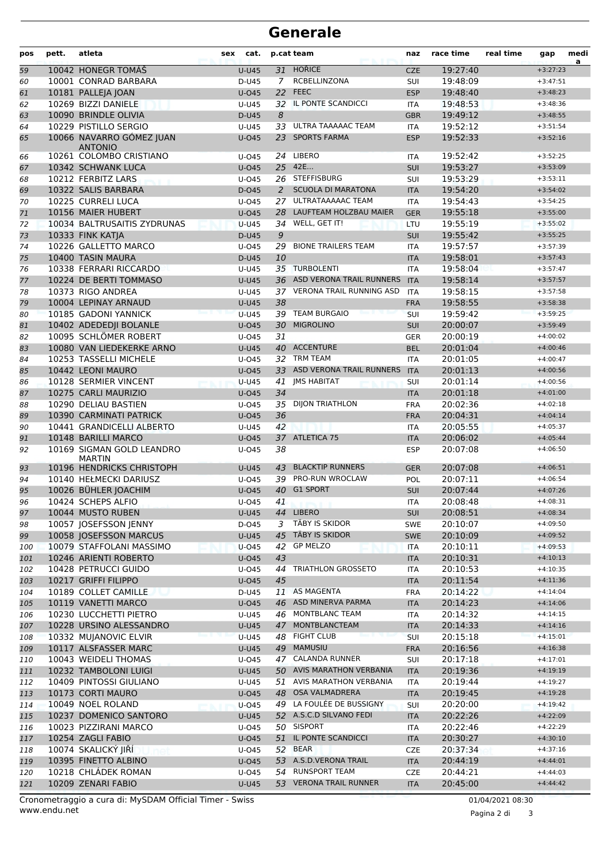## **Generale**

| pos        | pett. | atleta                                          | sex<br>cat.    | p.cat team     |                                                     | naz                      | race time            | real time | gap                      | medi<br>a |
|------------|-------|-------------------------------------------------|----------------|----------------|-----------------------------------------------------|--------------------------|----------------------|-----------|--------------------------|-----------|
| 59         |       | 10042 HONEGR TOMÁŠ                              | $U-U45$        |                | 31 HOŘICE                                           | <b>CZE</b>               | 19:27:40             |           | $+3:27:23$               |           |
| 60         |       | 10001 CONRAD BARBARA                            | D-U45          | $\overline{7}$ | RCBELLINZONA                                        | SUI                      | 19:48:09             |           | $+3:47:51$               |           |
| 61         |       | 10181 PALLEJA JOAN                              | U-045          |                | 22 FEEC                                             |                          | 19:48:40             |           | $+3:48:23$               |           |
| 62         |       | 10269 BIZZI DANIELE                             | U-U45          |                | 32 IL PONTE SCANDICCI                               | <b>ITA</b>               | 19:48:53             |           | $+3:48:36$               |           |
| 63         |       | 10090 BRINDLE OLIVIA                            | D-U45          | 8              |                                                     | <b>GBR</b>               | 19:49:12             |           | $+3:48:55$               |           |
| 64         |       | 10229 PISTILLO SERGIO                           | U-U45          |                | 33 ULTRA TAAAAAC TEAM                               | <b>ITA</b>               | 19:52:12             |           | $+3:51:54$               |           |
| 65         |       | 10066 NAVARRO GÓMEZ JUAN                        | $U$ -045       |                | 23 SPORTS FARMA                                     | <b>ESP</b>               | 19:52:33             |           | $+3:52:16$               |           |
| 66         |       | <b>ANTONIO</b><br>10261 COLOMBO CRISTIANO       | $U$ -045       | 24             | <b>LIBERO</b>                                       | <b>ITA</b>               | 19:52:42             |           | $+3:52:25$               |           |
| 67         |       | 10342 SCHWANK LUCA                              | $U$ -045       |                | 25 42E                                              | <b>SUI</b>               | 19:53:27             |           | $+3:53:09$               |           |
| 68         |       | 10212 FERBITZ LARS                              | U-045          |                | 26 STEFFISBURG                                      | SUI                      | 19:53:29             |           | $+3:53:11$               |           |
| 69         |       | 10322 SALIS BARBARA                             | $D-045$        | 2              | <b>SCUOLA DI MARATONA</b>                           | <b>ITA</b>               | 19:54:20             |           | $+3:54:02$               |           |
| 70         |       | 10225 CURRELI LUCA                              | $U$ -045       | 27             | ULTRATAAAAAC TEAM                                   | <b>ITA</b>               | 19:54:43             |           | $+3:54:25$               |           |
| 71         |       | 10156 MAIER HUBERT                              | U-045          | 28             | LAUFTEAM HOLZBAU MAIER                              | <b>GER</b>               | 19:55:18             |           | $+3:55:00$               |           |
| 72         |       | 10034 BALTRUSAITIS ZYDRUNAS                     | <b>U-U45</b>   | 34             | WELL, GET IT!                                       | LTU                      | 19:55:19             |           | $+3:55:02$               |           |
| 73         |       | 10333 FINK KATJA                                | D-U45          | 9              |                                                     | <b>SUI</b>               | 19:55:42             |           | $+3:55:25$               |           |
| 74         |       | 10226 GALLETTO MARCO                            | $U$ -045       | 29             | <b>BIONE TRAILERS TEAM</b>                          | <b>ITA</b>               | 19:57:57             |           | $+3:57:39$               |           |
| 75         |       | 10400 TASIN MAURA                               | D-U45          | 10             |                                                     | <b>ITA</b>               | 19:58:01             |           | $+3:57:43$               |           |
| 76         |       | 10338 FERRARI RICCARDO                          | U-U45          |                | 35 TURBOLENTI                                       | <b>ITA</b>               | 19:58:04             |           | $+3:57:47$               |           |
| 77         |       | 10224 DE BERTI TOMMASO                          | <b>U-U45</b>   |                | 36 ASD VERONA TRAIL RUNNERS                         | <b>ITA</b>               | 19:58:14             |           | $+3:57:57$               |           |
| 78         |       | 10373 RIGO ANDREA                               | $U-U45$        |                | 37 VERONA TRAIL RUNNING ASD                         | <b>ITA</b>               | 19:58:15             |           | $+3:57:58$               |           |
| 79         |       | 10004 LEPINAY ARNAUD                            | <b>U-U45</b>   | 38             |                                                     | <b>FRA</b>               | 19:58:55             |           | $+3:58:38$               |           |
| 80         |       | 10185 GADONI YANNICK                            | <b>U-U45</b>   |                | 39 TEAM BURGAIO                                     | <b>SUI</b>               | 19:59:42             |           | $+3:59:25$               |           |
| 81         |       | 10402 ADEDEDJI BOLANLE                          | $U$ -045       | 30             | <b>MIGROLINO</b>                                    | <b>SUI</b>               | 20:00:07             |           | $+3:59:49$               |           |
| 82         |       | 10095 SCHLÖMER ROBERT                           | $U$ -045       | 31             |                                                     | <b>GER</b>               | 20:00:19             |           | $+4:00:02$               |           |
| 83         |       | 10080 VAN LIEDEKERKE ARNO                       | <b>U-U45</b>   |                | 40 ACCENTURE                                        | <b>BEL</b>               | 20:01:04             |           | $+4:00:46$               |           |
| 84         |       | 10253 TASSELLI MICHELE                          | $U$ -045       |                | 32 TRM TEAM                                         | <b>ITA</b>               | 20:01:05             |           | $+4:00:47$               |           |
| 85         |       | 10442 LEONI MAURO                               | $U$ -045       |                | 33 ASD VERONA TRAIL RUNNERS                         | <b>ITA</b>               | 20:01:13             |           | $+4:00:56$               |           |
| 86         |       | 10128 SERMIER VINCENT                           | <b>U-U45</b>   |                | 41 JMS HABITAT                                      | SUI                      | 20:01:14             |           | $+4:00:56$               |           |
| 87         |       | 10275 CARLI MAURIZIO                            | $U$ -045       | 34             |                                                     | <b>ITA</b>               | 20:01:18             |           | $+4:01:00$               |           |
| 88         |       | 10290 DELIAU BASTIEN                            | $U$ -045       | 35             | <b>DIJON TRIATHLON</b>                              | <b>FRA</b>               | 20:02:36             |           | $+4:02:18$               |           |
| 89         |       | 10390 CARMINATI PATRICK                         | $U$ -045       | 36             |                                                     | <b>FRA</b>               | 20:04:31             |           | $+4:04:14$               |           |
| 90         |       | 10441 GRANDICELLI ALBERTO                       | U-U45          | 42             |                                                     | <b>ITA</b>               | 20:05:55             |           | $+4:05:37$               |           |
| 91         |       | 10148 BARILLI MARCO                             | $U$ -045       |                | 37 ATLETICA 75                                      | <b>ITA</b>               | 20:06:02             |           | $+4:05:44$               |           |
| 92         |       | 10169 SIGMAN GOLD LEANDRO<br><b>MARTIN</b>      | U-045          | 38             |                                                     | <b>ESP</b>               | 20:07:08             |           | $+4:06:50$               |           |
| 93         |       | 10196 HENDRICKS CHRISTOPH                       | <b>U-U45</b>   |                | 43 BLACKTIP RUNNERS                                 | <b>GER</b>               | 20:07:08             |           | $+4:06:51$               |           |
| 94         |       | 10140 HEŁMECKI DARIUSZ                          | $U$ -045       | 39             | PRO-RUN WROCLAW                                     | POL                      | 20:07:11             |           | $+4:06:54$               |           |
| 95         |       | 10026 BÜHLER JOACHIM                            | $U$ -045       | 40             | <b>G1 SPORT</b>                                     | <b>SUI</b>               | 20:07:44             |           | $+4:07:26$               |           |
| 96         |       | 10424 SCHEPS ALFIO                              | U-045          | 41             |                                                     | <b>ITA</b>               | 20:08:48             |           | $+4:08:31$               |           |
| 97         |       | 10044 MUSTO RUBEN                               | U-U45          |                | 44 LIBERO                                           | <b>SUI</b>               | 20:08:51             |           | $+4:08:34$               |           |
| 98         |       | 10057 JOSEFSSON JENNY                           | D-045          | 3              | TÄBY IS SKIDOR                                      | <b>SWE</b>               | 20:10:07             |           | $+4:09:50$               |           |
| 99         |       | 10058 JOSEFSSON MARCUS                          | <b>U-U45</b>   | 45             | TÄBY IS SKIDOR                                      | SWE                      | 20:10:09             |           | $+4:09:52$               |           |
| 100        |       | 10079 STAFFOLANI MASSIMO                        | U-045          | 42             | <b>GP MELZO</b>                                     | <b>ITA</b>               | 20:10:11             |           | $+4:09:53$               |           |
| 101        |       | 10246 ARIENTI ROBERTO                           | U-045          | 43             |                                                     | <b>ITA</b>               | 20:10:31             |           | $+4:10:13$               |           |
| 102        |       | 10428 PETRUCCI GUIDO                            | $U$ -045       | 44             | <b>TRIATHLON GROSSETO</b>                           | ITA                      | 20:10:53             |           | $+4:10:35$               |           |
| 103        |       | 10217 GRIFFI FILIPPO                            | U-045          | 45             |                                                     | <b>ITA</b>               | 20:11:54             |           | $+4:11:36$               |           |
| 104        |       | 10189 COLLET CAMILLE                            | D-U45          |                | 11 AS MAGENTA                                       | <b>FRA</b>               | 20:14:22             |           | $+4:14:04$               |           |
| 105        |       | 10119 VANETTI MARCO                             | $U$ -045       |                | 46 ASD MINERVA PARMA                                | <b>ITA</b>               | 20:14:23             |           | $+4:14:06$               |           |
| 106        |       | 10230 LUCCHETTI PIETRO                          | U-U45          |                | 46 MONTBLANC TEAM                                   | ITA                      | 20:14:32             |           | $+4:14:15$               |           |
| 107        |       | 10228 URSINO ALESSANDRO                         | U-U45          | 47             | MONTBLANCTEAM                                       | <b>ITA</b>               | 20:14:33             |           | $+4:14:16$               |           |
| 108        |       | 10332 MUJANOVIC ELVIR                           | $U-U45$        | 48             | <b>FIGHT CLUB</b>                                   | <b>SUI</b>               | 20:15:18             |           | $+4:15:01$               |           |
| 109        |       | 10117 ALSFASSER MARC                            | U-U45          |                | 49 MAMUSIU                                          | <b>FRA</b>               | 20:16:56             |           | $+4:16:38$               |           |
| 110        |       | 10043 WEIDELI THOMAS                            | U-045          |                | 47 CALANDA RUNNER                                   | <b>SUI</b>               | 20:17:18             |           | $+4:17:01$               |           |
| 111        |       | 10232 TAMBOLONI LUIGI                           | <b>U-U45</b>   |                | 50 AVIS MARATHON VERBANIA                           | <b>ITA</b>               | 20:19:36             |           | $+4:19:19$               |           |
| 112        |       | 10409 PINTOSSI GIULIANO<br>10173 CORTI MAURO    | U-U45          |                | 51 AVIS MARATHON VERBANIA<br>48 OSA VALMADRERA      | ITA                      | 20:19:44             |           | $+4:19:27$<br>$+4:19:28$ |           |
| 113        |       |                                                 | U-045          |                |                                                     | <b>ITA</b>               | 20:19:45             |           |                          |           |
| 114        |       | 10049 NOEL ROLAND                               | $U-045$        |                | 49 LA FOULÉE DE BUSSIGNY<br>52 A.S.C.D SILVANO FEDI | <b>SUI</b>               | 20:20:00             |           | $+4:19:42$               |           |
| 115        |       | 10237 DOMENICO SANTORO<br>10023 PIZZIRANI MARCO | U-U45          |                | 50 SISPORT                                          | <b>ITA</b>               | 20:22:26             |           | $+4:22:09$               |           |
| 116        |       | 10254 ZAGLI FABIO                               | U-045          |                | 51 IL PONTE SCANDICCI                               | ITA                      | 20:22:46<br>20:30:27 |           | $+4:22:29$<br>$+4:30:10$ |           |
| 117        |       | 10074 SKALICKÝ JIŘÍ                             | U-045<br>U-045 |                | 52 BEAR                                             | <b>ITA</b><br><b>CZE</b> | 20:37:34             |           | $+4:37:16$               |           |
| 118<br>119 |       | 10395 FINETTO ALBINO                            | U-045          |                | 53 A.S.D.VERONA TRAIL                               | <b>ITA</b>               | 20:44:19             |           | $+4:44:01$               |           |
| 120        |       | 10218 CHLÁDEK ROMAN                             | U-045          |                | 54 RUNSPORT TEAM                                    | <b>CZE</b>               | 20:44:21             |           | $+4:44:03$               |           |
| 121        |       | 10209 ZENARI FABIO                              | U-U45          |                | 53 VERONA TRAIL RUNNER                              | <b>ITA</b>               | 20:45:00             |           | $+4:44:42$               |           |
|            |       |                                                 |                |                |                                                     |                          |                      |           |                          |           |

www.endu.net Cronometraggio a cura di: MySDAM Official Timer - Swiss 01/04/2021 08:30

Pagina 2 di 3